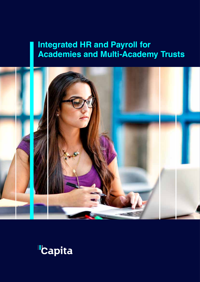## **Integrated HR and Payroll for Academies and Multi-Academy Trusts**



# **Capita**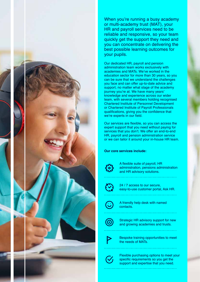

Our dedicated HR, payroll and pension administration team works exclusively with academies and MATs. We've worked in the education sector for more than 30 years, so you can be sure that we understand the challenges you face and can offer up-to-date advice and support, no matter what stage of the academy journey you're at. We have many years' knowledge and experience across our wider team, with several members holding recognised Chartered Institute of Personnel Development or Chartered Institute of Payroll Professionals qualifications, giving you the confidence that we're experts in our field.

Our services are flexible, so you can access the expert support that you need without paying for services that you don't. We offer an end-to-end HR, payroll and pension administration service or we can tailor it around your in-house HR team.

#### **Our core services include:**



A flexible suite of payroll, HR administration, pensions administration and HR advisory solutions.

24 / 7 access to our secure, easy-to-use customer portal, Ask HR.

A friendly help desk with named contacts.

Strategic HR advisory support for new and growing academies and trusts.

Bespoke training opportunities to meet the needs of MATs.

Integrated HR and Payroll for Academies and Multi-Academy Trusts 2

Flexible purchasing options to meet your specific requirements so you get the support and expertise that you need.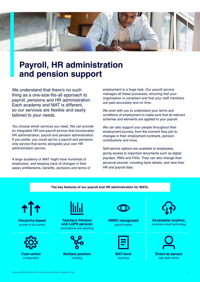

## **Payroll, HR administration and pension support**

We understand that there's no such thing as a one-size-fits-all approach to payroll, pensions and HR administration. Each academy and MAT is different, so our services are flexible and easily tailored to your needs.

You choose which services you need. We can provide an integrated HR and payroll service that incorporates HR administration, payroll and pension administration. If you prefer, you could opt for a payroll and pensions only service that works alongside your own HR administration service.

A large academy or MAT might have hundreds of employees, and keeping track of changes in their salary entitlements, benefits, pensions and terms of employment is a huge task. Our payroll service manages all these processes, ensuring that your organisation is compliant and that your staff members are paid accurately and on time.

We work with you to understand your terms and conditions of employment to make sure that all relevant schemes and elements are applied to your payroll.

We can also support your people throughout their employment journey, from the moment they join to changes in their employment contracts, pension contributions and more.

Self-service options are available to employees, giving access to important documents such as digital payslips, P60s and P45s. They can also change their personal records, including bank details, and view their HR and payroll data.

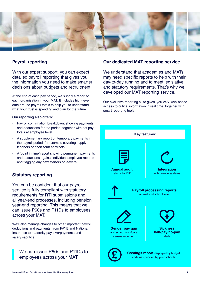

### **Payroll reporting**

With our expert support, you can expect detailed payroll reporting that gives you the information you need to make smarter decisions about budgets and recruitment.

At the end of each pay period, we supply a report to each organisation in your MAT. It includes high-level data around payroll totals to help you to understand what your trust is spending and plan for the future.

#### **Our reporting also offers:**

- Payroll confirmation breakdown, showing payments and deductions for the period, together with net pay totals at employee level.
- A supplementary report on temporary payments in the payroll period, for example covering supply teachers or short-term contracts.
- A 'point in time' report showing permanent payments and deductions against individual employee records and flagging any new starters or leavers.

### **Statutory reporting**

You can be confident that our payroll service is fully compliant with statutory requirements for RTI submissions and all year-end processes, including pension year-end reporting. This means that we can issue P60s and P11Ds to employees across your MAT.

We'll also manage changes to other important payroll deductions and payments, from PAYE and National Insurance to maternity pay, overpayments and salary sacrifice.

## We can issue P60s and P11Ds to employees across your MAT

## **Our dedicated MAT reporting service**

We understand that academies and MATs may need specific reports to help with their day-to-day running and to meet legislative and statutory requirements. That's why we developed our MAT reporting service.

Our exclusive reporting suite gives you 24/7 web-based access to critical information in real time, together with smart reporting tools.

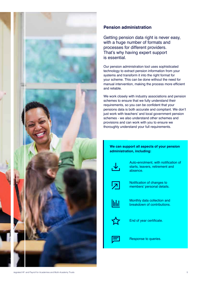

## **Pension administration**

Getting pension data right is never easy, with a huge number of formats and processes for different providers. That's why having expert support is essential.

Our pension administration tool uses sophisticated technology to extract pension information from your systems and transform it into the right format for your scheme. This can be done without the need for manual intervention, making the process more efficient and reliable.

We work closely with industry associations and pension schemes to ensure that we fully understand their requirements, so you can be confident that your pensions data is both accurate and compliant. We don't just work with teachers' and local government pension schemes - we also understand other schemes and provisions and can work with you to ensure we thoroughly understand your full requirements.

### **We can support all aspects of your pension administration, including:**



Auto-enrolment, with notification of starts, leavers, retirement and absence.



Notification of changes to members' personal details.



Monthly data collection and breakdown of contributions.



End of year certificate.



Response to queries.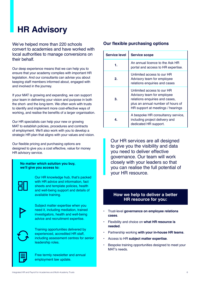## **HR Advisory**

We've helped more than 220 schools convert to academies and have worked with local authorities to manage conversions on their behalf.

Our deep experience means that we can help you to ensure that your academy complies with important HR legislation. And our consultants can advise you about keeping staff members informed about, engaged with and involved in the journey.

If your MAT is growing and expanding, we can support your team in delivering your vision and purpose in both the short- and the long-term. We often work with trusts to identify and implement more cost-effective ways of working, and realise the benefits of a larger organisation.

Our HR specialists can help your new or growing MAT to establish policies, procedures and contracts of employment. We'll also work with you to develop a strategic HR plan that aligns with your values and vision.

Our flexible pricing and purchasing options are designed to give you a cost effective, value for money HR advisory service.

#### **No matter which solution you buy, we'll give you access to:**

Our HR knowledge hub, that's packed with HR advice and information, fact sheets and template policies, health and well-being support and details of available training.



Subject matter expertise when you need it, including mediation, trained investigators, health and well-being advice and recruitment expertise.



Training opportunities delivered by experienced, accredited HR staff, including assessment centres for senior leadership roles.



Free termly newsletter and annual employment law update.

## **Our flexible purchasing options**

| <b>Service level</b> | <b>Service scope</b>                                                                                                                                                 |
|----------------------|----------------------------------------------------------------------------------------------------------------------------------------------------------------------|
| 1.                   | An annual licence to the Ask HR<br>portal and access to HR expertise.                                                                                                |
| 2.                   | Unlimited access to our HR<br>Advisory team for employee<br>relations enquiries and cases                                                                            |
| 3.                   | Unlimited access to our HR<br>Advisory team for employee<br>relations enquiries and cases,<br>plus an annual number of hours of<br>HR support at meetings / hearings |
| 4.                   | A bespoke HR consultancy service,<br>including project delivery and<br>dedicated HR support.                                                                         |

Our HR services are all designed to give you the visibility and data you need to deliver effective governance. Our team will work closely with your leaders so that you can realise the full potential of your HR resource.

## **How we help to deliver a better HR resource for you:**

- Trust-level **governance on employee relations cases**.
- Flexibility and choice on **what HR resource is needed**.
- Partnership working **with your in-house HR teams**.
- Access to HR **subject matter expertise**.
- Bespoke training opportunities designed to meet your MAT's needs.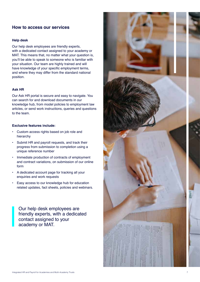## **How to access our services**

#### **Help desk**

Our help desk employees are friendly experts, with a dedicated contact assigned to your academy or MAT. This means that, no matter what your question is, you'll be able to speak to someone who is familiar with your situation. Our team are highly trained and will have knowledge of your specific employment terms, and where they may differ from the standard national position.

#### **Ask HR**

Our Ask HR portal is secure and easy to navigate. You can search for and download documents in our knowledge hub, from model policies to employment law articles, or send work instructions, queries and questions to the team.

#### **Exclusive features include:**

- Custom access rights based on job role and hierarchy
- Submit HR and payroll requests, and track their progress from submission to completion using a unique reference number
- Immediate production of contracts of employment and contract variations, on submission of our online form
- A dedicated account page for tracking all your enquiries and work requests
- Easy access to our knowledge hub for education related updates, fact sheets, policies and webinars.

Our help desk employees are friendly experts, with a dedicated contact assigned to your academy or MAT.

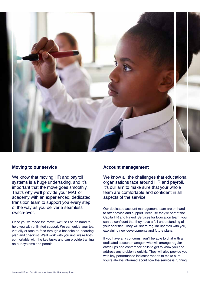

### **Moving to our service**

We know that moving HR and payroll systems is a huge undertaking, and it's important that the move goes smoothly. That's why we'll provide your MAT or academy with an experienced, dedicated transition team to support you every step of the way as you deliver a seamless switch-over.

Once you've made the move, we'll still be on hand to help you with unlimited support. We can guide your team virtually or face-to-face through a bespoke on-boarding plan and checklist. We'll work with you until we're both comfortable with the key tasks and can provide training on our systems and portals.

#### **Account management**

We know all the challenges that educational organisations face around HR and payroll. It's our aim to make sure that your whole team are comfortable and confident in all aspects of the service.

Our dedicated account management team are on hand to offer advice and support. Because they're part of the Capita HR and Payroll Services for Education team, you can be confident that they have a full understanding of your priorities. They will share regular updates with you, explaining new developments and future plans.

If you have any concerns, you'll be able to chat with a dedicated account manager, who will arrange regular catch-ups and conference calls to get to know you and address any problems quickly. They will also provide you with key performance indicator reports to make sure you're always informed about how the service is running.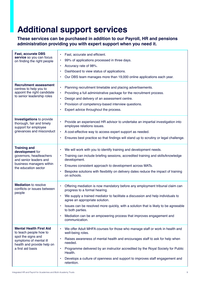## **Additional support services**

## **These services can be purchased in addition to our Payroll, HR and pensions administration providing you with expert support when you need it.**

| <b>Fast, accurate DBS</b><br>service so you can focus<br>on finding the right people                                                                        | Fast, accurate and efficient.<br>99% of applications processed in three days.<br>٠<br>Accuracy rate of 98%.<br>$\bullet$<br>Dashboard to view status of applications.<br>$\bullet$<br>Our DBS team manages more than 19,000 online applications each year.<br>$\bullet$                                                                                                                                                                                                       |
|-------------------------------------------------------------------------------------------------------------------------------------------------------------|-------------------------------------------------------------------------------------------------------------------------------------------------------------------------------------------------------------------------------------------------------------------------------------------------------------------------------------------------------------------------------------------------------------------------------------------------------------------------------|
| <b>Recruitment assessment</b><br>centres to help you to<br>appoint the right candidate<br>to senior leadership roles                                        | Planning recruitment timetable and placing advertisements.<br>$\bullet$<br>Providing a full administrative package for the recruitment process.<br>$\bullet$<br>Design and delivery of an assessment centre.<br>٠<br>Provision of competency-based interview questions.<br>$\bullet$<br>Expert advice throughout the process.<br>$\bullet$                                                                                                                                    |
| <b>Investigations</b> to provide<br>thorough, fair and timely<br>support for employee<br>grievances and misconduct                                          | Provide an experienced HR advisor to undertake an impartial investigation into<br>$\bullet$<br>employee relations issues.<br>A cost-effective way to access expert support as needed.<br>$\bullet$<br>Ensures best practice so that findings will stand up to scrutiny or legal challenge.<br>$\bullet$                                                                                                                                                                       |
| <b>Training and</b><br>development for<br>governors, headteachers<br>and senior leaders and<br>business managers within<br>the education sector             | We will work with you to identify training and development needs.<br>٠<br>Training can include briefing sessions, accredited training and skills/knowledge<br>٠<br>development.<br>Ensures consistent approach to development across MATs.<br>$\bullet$<br>Bespoke solutions with flexibility on delivery dates reduce the impact of training<br>٠<br>on schools.                                                                                                             |
| <b>Mediation</b> to resolve<br>conflicts or issues between<br>people                                                                                        | Offering mediation is now mandatory before any employment tribunal claim can<br>$\bullet$<br>progress to a formal hearing.<br>We supply a trained mediator to facilitate a discussion and help individuals to<br>$\bullet$<br>agree an appropriate solution.<br>Issues can be resolved more quickly, with a solution that is likely to be agreeable<br>to both parties.<br>Mediation can be an empowering process that improves engagement and<br>$\bullet$<br>communication. |
| <b>Mental Health First Aid</b><br>to teach people how to<br>spot the signs and<br>symptoms of mental ill<br>health and provide help on<br>a first aid basis | We offer Adult MHFA courses for those who manage staff or work in health and<br>$\bullet$<br>well-being roles.<br>Raises awareness of mental health and encourages staff to ask for help when<br>$\bullet$<br>needed.<br>Programme delivered by an instructor accredited by the Royal Society for Public<br>$\bullet$<br>Health.<br>Develops a culture of openness and support to improves staff engagement and<br>$\bullet$<br>retention.                                    |